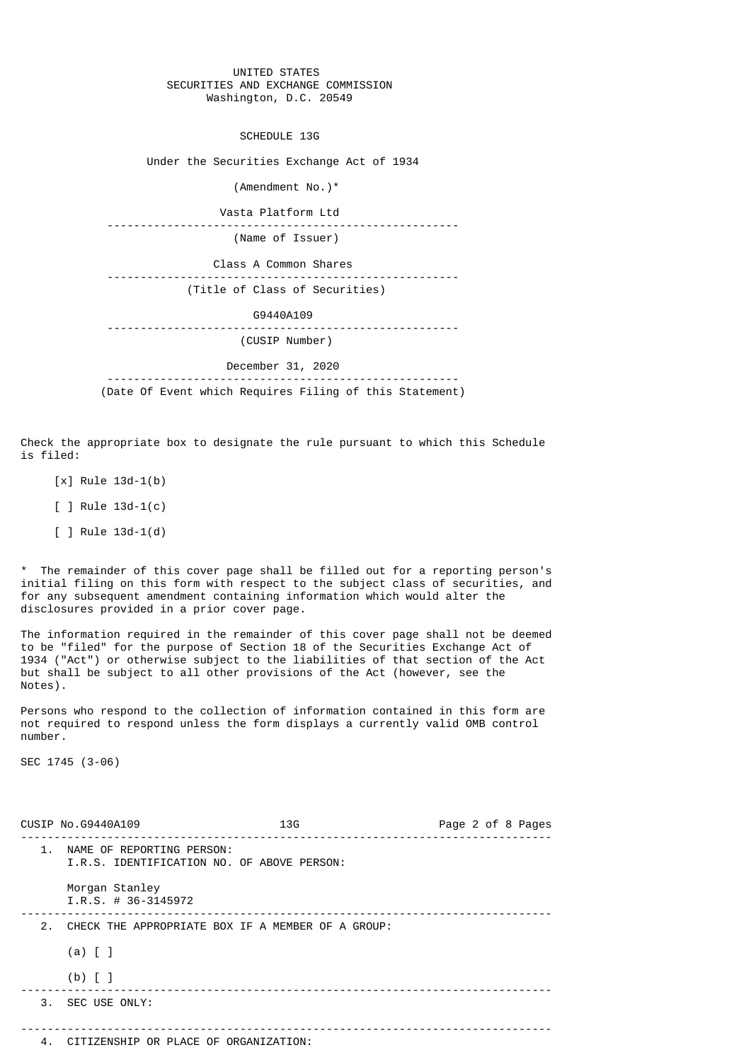## UNITED STATES SECURITIES AND EXCHANGE COMMISSION Washington, D.C. 20549

SCHEDULE 13G

Under the Securities Exchange Act of 1934

(Amendment No.)\*

 Vasta Platform Ltd ----------------------------------------------------- (Name of Issuer) Class A Common Shares ----------------------------------------------------- (Title of Class of Securities) G9440A109 ----------------------------------------------------- (CUSIP Number) December 31, 2020 -----------------------------------------------------

(Date Of Event which Requires Filing of this Statement)

Check the appropriate box to designate the rule pursuant to which this Schedule is filed:

[x] Rule 13d-1(b)

[ ] Rule 13d-1(c)

[ ] Rule 13d-1(d)

\* The remainder of this cover page shall be filled out for a reporting person's initial filing on this form with respect to the subject class of securities, and for any subsequent amendment containing information which would alter the disclosures provided in a prior cover page.

The information required in the remainder of this cover page shall not be deemed to be "filed" for the purpose of Section 18 of the Securities Exchange Act of 1934 ("Act") or otherwise subject to the liabilities of that section of the Act but shall be subject to all other provisions of the Act (however, see the Notes).

Persons who respond to the collection of information contained in this form are not required to respond unless the form displays a currently valid OMB control number.

SEC 1745 (3-06)

|               | CUSIP No. 69440A109                                                     | 13G | Page 2 of 8 Pages |
|---------------|-------------------------------------------------------------------------|-----|-------------------|
| $\mathbf 1$ . | NAME OF REPORTING PERSON:<br>I.R.S. IDENTIFICATION NO. OF ABOVE PERSON: |     |                   |
|               | Morgan Stanley<br>$I.R.S. # 36-3145972$                                 |     |                   |
|               | 2. CHECK THE APPROPRIATE BOX IF A MEMBER OF A GROUP:                    |     |                   |
|               | $(a)$ $[$ $]$                                                           |     |                   |
|               | $(b)$ [ ]                                                               |     |                   |
|               | 3. SEC USE ONLY:                                                        |     |                   |
|               |                                                                         |     |                   |
| 4.            | CITIZENSHIP OR PLACE OF ORGANIZATION:                                   |     |                   |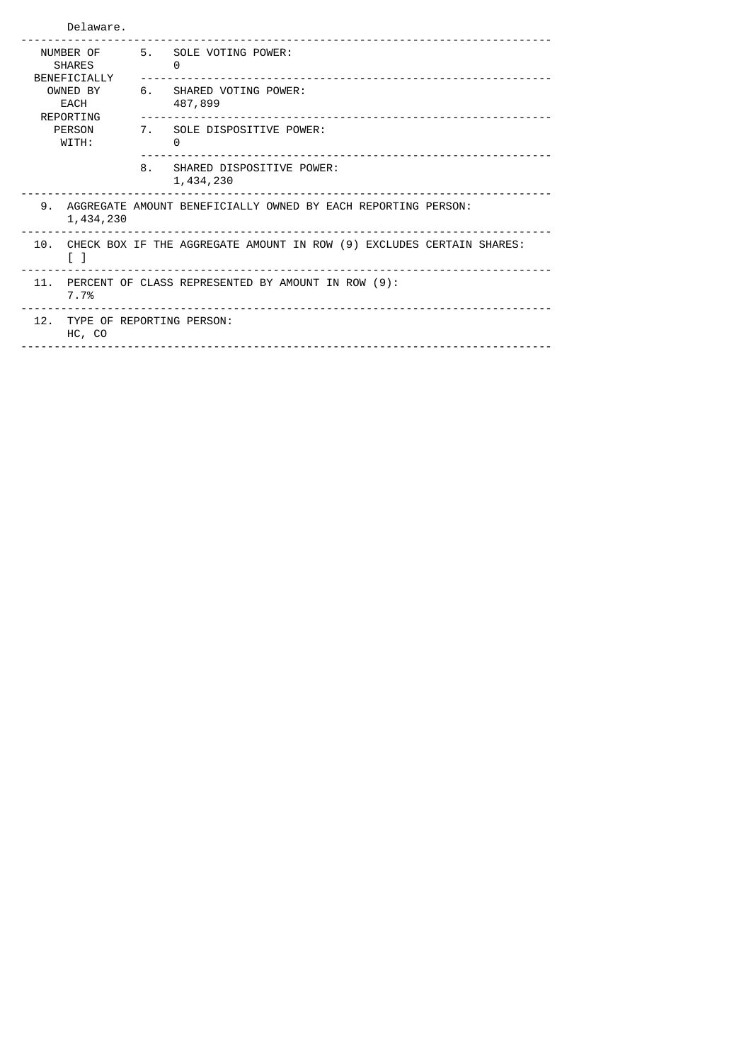| Delaware.                                  |                                                                                         |                                                                         |  |  |  |
|--------------------------------------------|-----------------------------------------------------------------------------------------|-------------------------------------------------------------------------|--|--|--|
| NUMBER OF<br><b>SHARES</b><br>BENEFICIALLY | 5.                                                                                      | SOLE VOTING POWER:<br>0                                                 |  |  |  |
| OWNED BY<br>EACH<br>REPORTING              |                                                                                         | 6. SHARED VOTING POWER:<br>487,899<br>_________________________________ |  |  |  |
| <b>PERSON</b><br>WITH:                     |                                                                                         | 7. SOLE DISPOSITIVE POWER:<br>$\Theta$                                  |  |  |  |
|                                            | 8.                                                                                      | SHARED DISPOSITIVE POWER:<br>1,434,230                                  |  |  |  |
| 9.<br>1,434,230                            | AGGREGATE AMOUNT BENEFICIALLY OWNED BY EACH REPORTING PERSON:                           |                                                                         |  |  |  |
| 10.<br>$\begin{bmatrix} 1 \end{bmatrix}$   | CHECK BOX IF THE AGGREGATE AMOUNT IN ROW (9) EXCLUDES CERTAIN SHARES:                   |                                                                         |  |  |  |
| 11.<br>7.7%                                | PERCENT OF CLASS REPRESENTED BY AMOUNT IN ROW (9):<br>_________________________________ |                                                                         |  |  |  |
| HC, CO                                     | 12. TYPE OF REPORTING PERSON:                                                           |                                                                         |  |  |  |
|                                            |                                                                                         |                                                                         |  |  |  |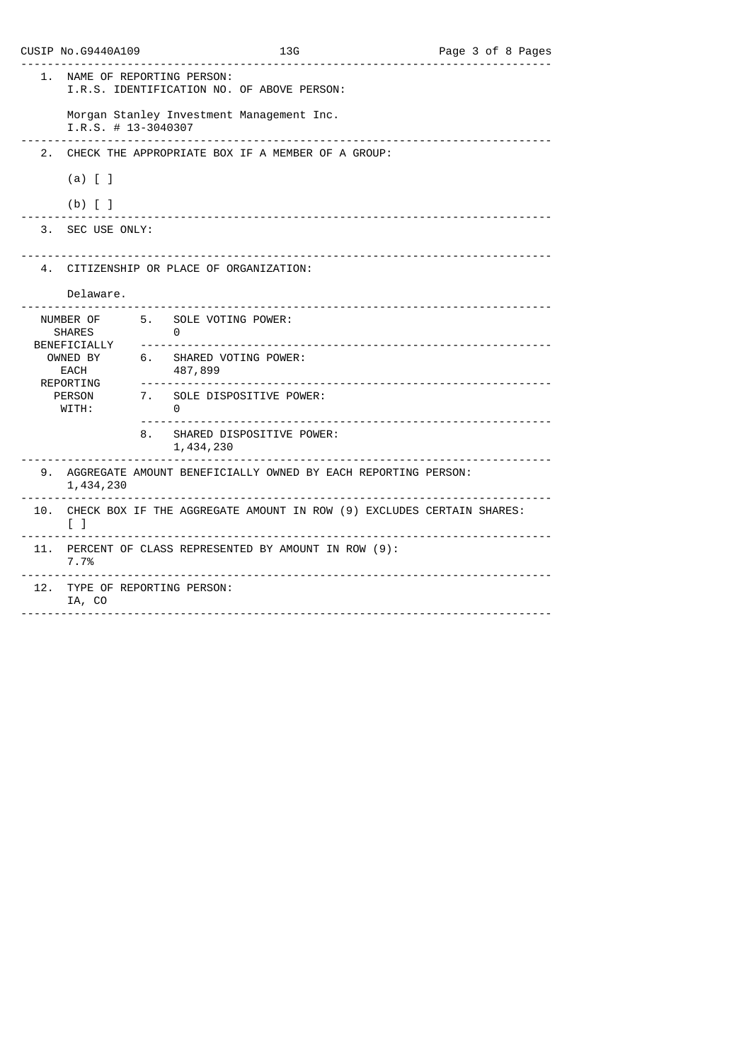|                | CUSIP No. 69440A109                     | 13G<br><u>.</u> .<br><u> - - - - - - - - - - - -</u>                  | Page 3 of 8 Pages |
|----------------|-----------------------------------------|-----------------------------------------------------------------------|-------------------|
| 1.             | NAME OF REPORTING PERSON:               | I.R.S. IDENTIFICATION NO. OF ABOVE PERSON:                            |                   |
|                | $I.R.S. # 13-3040307$<br><u>.</u>       | Morgan Stanley Investment Management Inc.                             |                   |
| 2 <sub>1</sub> |                                         | CHECK THE APPROPRIATE BOX IF A MEMBER OF A GROUP:                     |                   |
|                | $(a)$ $[$ $]$                           |                                                                       |                   |
|                | $(b)$ [ ]                               |                                                                       |                   |
| 3.             | SEC USE ONLY:                           |                                                                       |                   |
|                |                                         | 4. CITIZENSHIP OR PLACE OF ORGANIZATION:                              |                   |
|                | Delaware.                               |                                                                       |                   |
|                | <b>SHARES</b><br>.                      | NUMBER OF 5. SOLE VOTING POWER:<br>0                                  |                   |
|                | BENEFICIALLY<br>OWNED BY<br>EACH        | 6. SHARED VOTING POWER:<br>487,899                                    |                   |
|                | REPORTING<br>PERSON<br>WITH:            | 7. SOLE DISPOSITIVE POWER:<br>0                                       |                   |
|                | 8.                                      | SHARED DISPOSITIVE POWER:<br>1,434,230                                |                   |
|                | 1,434,230                               | 9. AGGREGATE AMOUNT BENEFICIALLY OWNED BY EACH REPORTING PERSON:      |                   |
| 10.            | $\begin{bmatrix} 1 \end{bmatrix}$       | CHECK BOX IF THE AGGREGATE AMOUNT IN ROW (9) EXCLUDES CERTAIN SHARES: |                   |
|                | 7.7%                                    | 11. PERCENT OF CLASS REPRESENTED BY AMOUNT IN ROW (9):                |                   |
|                | 12. TYPE OF REPORTING PERSON:<br>IA, CO |                                                                       |                   |
|                |                                         |                                                                       |                   |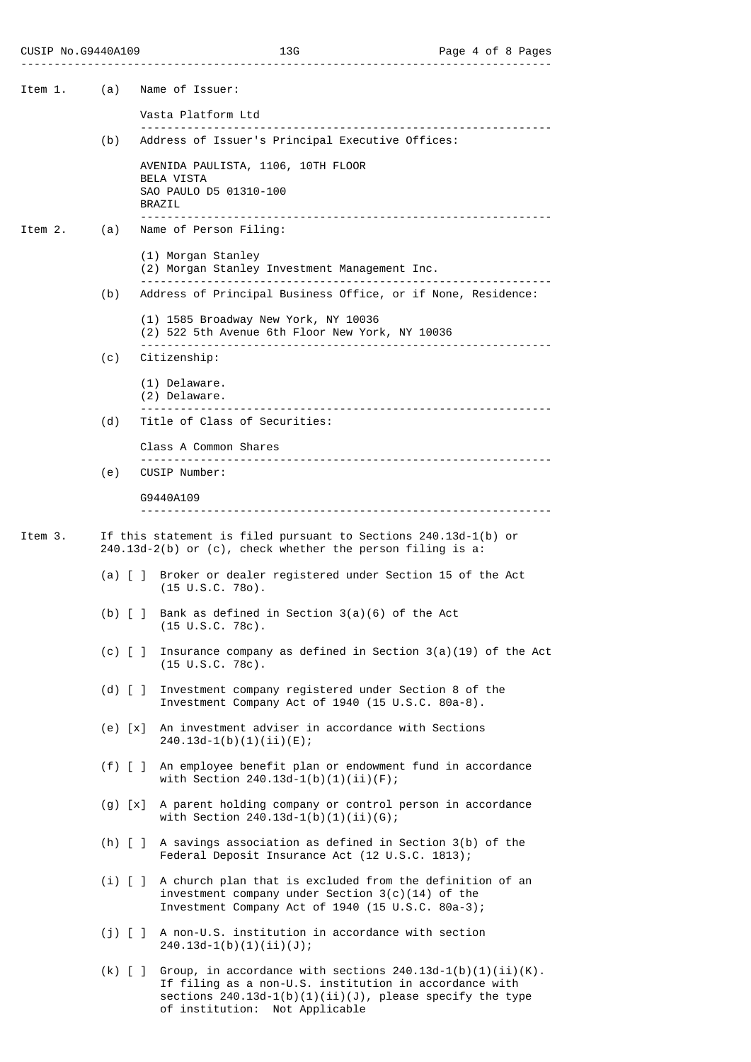| Item 1. | (a)                                                                                                                               | Name of Issuer:                                                                                                                                                                                                                  |
|---------|-----------------------------------------------------------------------------------------------------------------------------------|----------------------------------------------------------------------------------------------------------------------------------------------------------------------------------------------------------------------------------|
|         |                                                                                                                                   | Vasta Platform Ltd                                                                                                                                                                                                               |
|         | (b)                                                                                                                               | <u> - - - - - - - - - - - - -</u><br>Address of Issuer's Principal Executive Offices:                                                                                                                                            |
|         |                                                                                                                                   | AVENIDA PAULISTA, 1106, 10TH FLOOR<br>BELA VISTA<br>SAO PAULO D5 01310-100<br><b>BRAZIL</b>                                                                                                                                      |
| Item 2. | (a)                                                                                                                               | Name of Person Filing:                                                                                                                                                                                                           |
|         |                                                                                                                                   | (1) Morgan Stanley<br>(2) Morgan Stanley Investment Management Inc.                                                                                                                                                              |
|         | (b)                                                                                                                               | Address of Principal Business Office, or if None, Residence:                                                                                                                                                                     |
|         |                                                                                                                                   | (1) 1585 Broadway New York, NY 10036<br>(2) 522 5th Avenue 6th Floor New York, NY 10036                                                                                                                                          |
|         | (c)                                                                                                                               | Citizenship:                                                                                                                                                                                                                     |
|         |                                                                                                                                   | (1) Delaware.<br>(2) Delaware.                                                                                                                                                                                                   |
|         | (d)                                                                                                                               | Title of Class of Securities:                                                                                                                                                                                                    |
|         |                                                                                                                                   | Class A Common Shares                                                                                                                                                                                                            |
|         | (e)                                                                                                                               | CUSIP Number:                                                                                                                                                                                                                    |
|         |                                                                                                                                   | G9440A109                                                                                                                                                                                                                        |
| Item 3. | If this statement is filed pursuant to Sections $240.13d-1(b)$ or<br>$240.13d-2(b)$ or (c), check whether the person filing is a: |                                                                                                                                                                                                                                  |
|         | (a)                                                                                                                               | Broker or dealer registered under Section 15 of the Act<br>$(15 \cup S.C. 780)$ .                                                                                                                                                |
|         | $(b)$ $\lceil$ $\rceil$                                                                                                           | Bank as defined in Section $3(a)(6)$ of the Act<br>$(15 \cup S.C. 78c)$ .                                                                                                                                                        |
|         |                                                                                                                                   | (c) $\lceil$ ] Insurance company as defined in Section 3(a)(19) of the Act<br>$(15 \cup S.C. 78c)$ .                                                                                                                             |
|         |                                                                                                                                   | (d) [ ] Investment company registered under Section 8 of the<br>Investment Company Act of 1940 (15 U.S.C. 80a-8).                                                                                                                |
|         | $(e) \lfloor x \rfloor$                                                                                                           | An investment adviser in accordance with Sections<br>$240.13d-1(b)(1)(ii)(E);$                                                                                                                                                   |
|         |                                                                                                                                   | (f) [ ] An employee benefit plan or endowment fund in accordance<br>with Section $240.13d-1(b)(1)(ii)(F)$ ;                                                                                                                      |
|         | $(g)$ $[x]$                                                                                                                       | A parent holding company or control person in accordance<br>with Section $240.13d-1(b)(1)(ii)(G);$                                                                                                                               |
|         |                                                                                                                                   | (h) $[ ]$ A savings association as defined in Section 3(b) of the<br>Federal Deposit Insurance Act (12 U.S.C. 1813);                                                                                                             |
|         |                                                                                                                                   | (i) [ ] A church plan that is excluded from the definition of an<br>investment company under Section $3(c)(14)$ of the<br>Investment Company Act of 1940 (15 U.S.C. 80a-3);                                                      |
|         |                                                                                                                                   | (j) [ ] A non-U.S. institution in accordance with section<br>$240.13d-1(b)(1)(ii)(J);$                                                                                                                                           |
|         |                                                                                                                                   | (k) [ ] Group, in accordance with sections $240.13d-1(b)(1)(ii)(K)$ .<br>If filing as a non-U.S. institution in accordance with<br>sections $240.13d-1(b)(1)(ii)(J)$ , please specify the type<br>of institution: Not Applicable |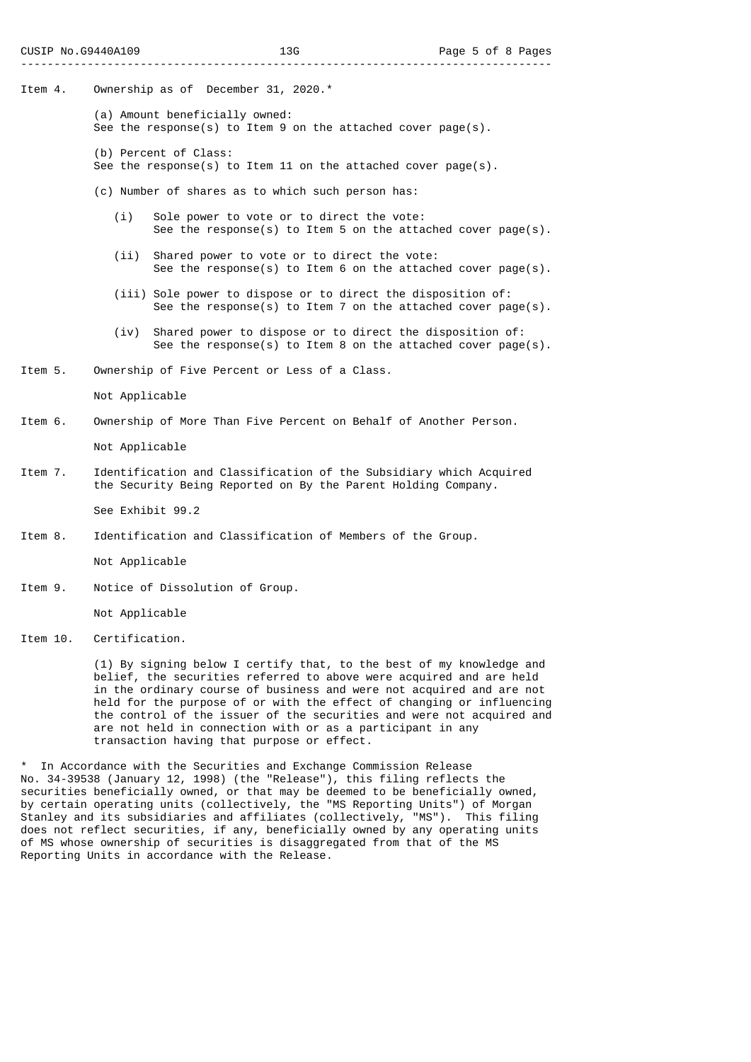- Item 4. Ownership as of December 31, 2020.\*
	- (a) Amount beneficially owned: See the response(s) to Item 9 on the attached cover page(s).
	- (b) Percent of Class:
	- See the response(s) to Item 11 on the attached cover page(s).
	- (c) Number of shares as to which such person has:
		- (i) Sole power to vote or to direct the vote: See the response(s) to Item 5 on the attached cover page(s).
		- (ii) Shared power to vote or to direct the vote: See the response(s) to Item 6 on the attached cover page(s).
		- (iii) Sole power to dispose or to direct the disposition of: See the response(s) to Item 7 on the attached cover page(s).
		- (iv) Shared power to dispose or to direct the disposition of: See the response(s) to Item 8 on the attached cover page(s).
- Item 5. Ownership of Five Percent or Less of a Class.

Not Applicable

Item 6. Ownership of More Than Five Percent on Behalf of Another Person.

Not Applicable

Item 7. Identification and Classification of the Subsidiary which Acquired the Security Being Reported on By the Parent Holding Company.

See Exhibit 99.2

Item 8. Identification and Classification of Members of the Group.

Not Applicable

Item 9. Notice of Dissolution of Group.

Not Applicable

Item 10. Certification.

 (1) By signing below I certify that, to the best of my knowledge and belief, the securities referred to above were acquired and are held in the ordinary course of business and were not acquired and are not held for the purpose of or with the effect of changing or influencing the control of the issuer of the securities and were not acquired and are not held in connection with or as a participant in any transaction having that purpose or effect.

In Accordance with the Securities and Exchange Commission Release No. 34-39538 (January 12, 1998) (the "Release"), this filing reflects the securities beneficially owned, or that may be deemed to be beneficially owned, by certain operating units (collectively, the "MS Reporting Units") of Morgan Stanley and its subsidiaries and affiliates (collectively, "MS"). This filing does not reflect securities, if any, beneficially owned by any operating units of MS whose ownership of securities is disaggregated from that of the MS Reporting Units in accordance with the Release.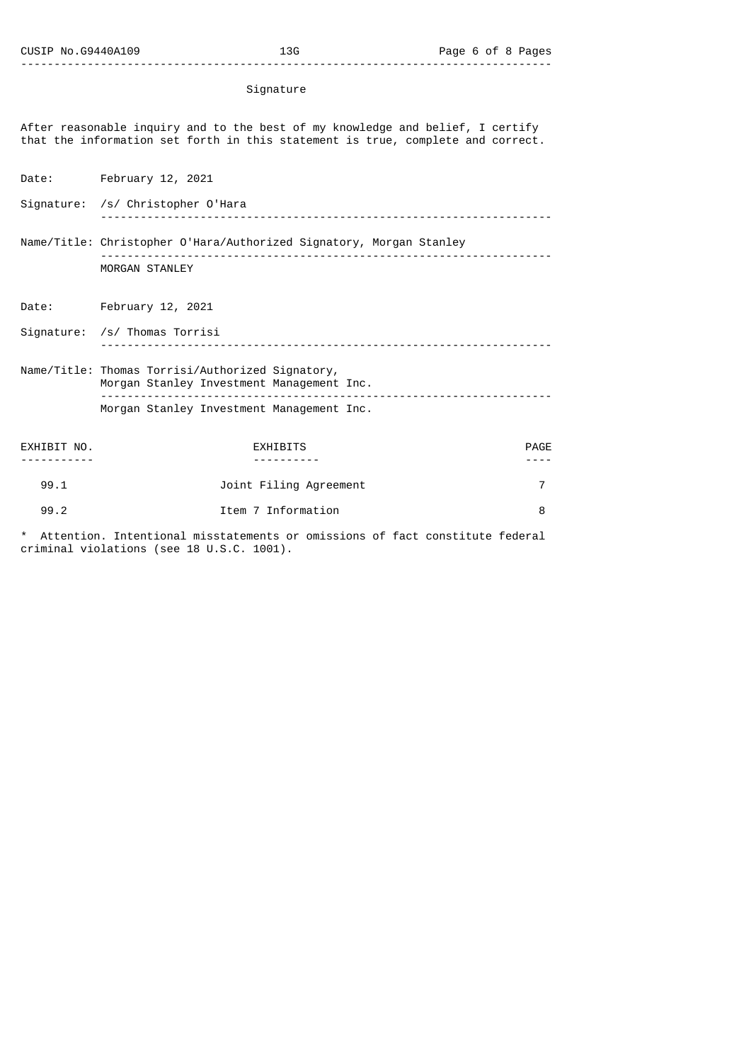## Signature

After reasonable inquiry and to the best of my knowledge and belief, I certify that the information set forth in this statement is true, complete and correct.

Date: February 12, 2021

--------------------------------------------------------------------------------

Signature: /s/ Christopher O'Hara -------------------------------------------------------------------- Name/Title: Christopher O'Hara/Authorized Signatory, Morgan Stanley -------------------------------------------------------------------- MORGAN STANLEY

Date: February 12, 2021

Signature: /s/ Thomas Torrisi -------------------------------------------------------------------- Name/Title: Thomas Torrisi/Authorized Signatory, Morgan Stanley Investment Management Inc. -------------------------------------------------------------------- Morgan Stanley Investment Management Inc.

EXHIBIT NO. EXHIBITS PAGE ----------- ---------- ---- 99.1 Joint Filing Agreement 7 99.2 Item 7 Information 8

Attention. Intentional misstatements or omissions of fact constitute federal criminal violations (see 18 U.S.C. 1001).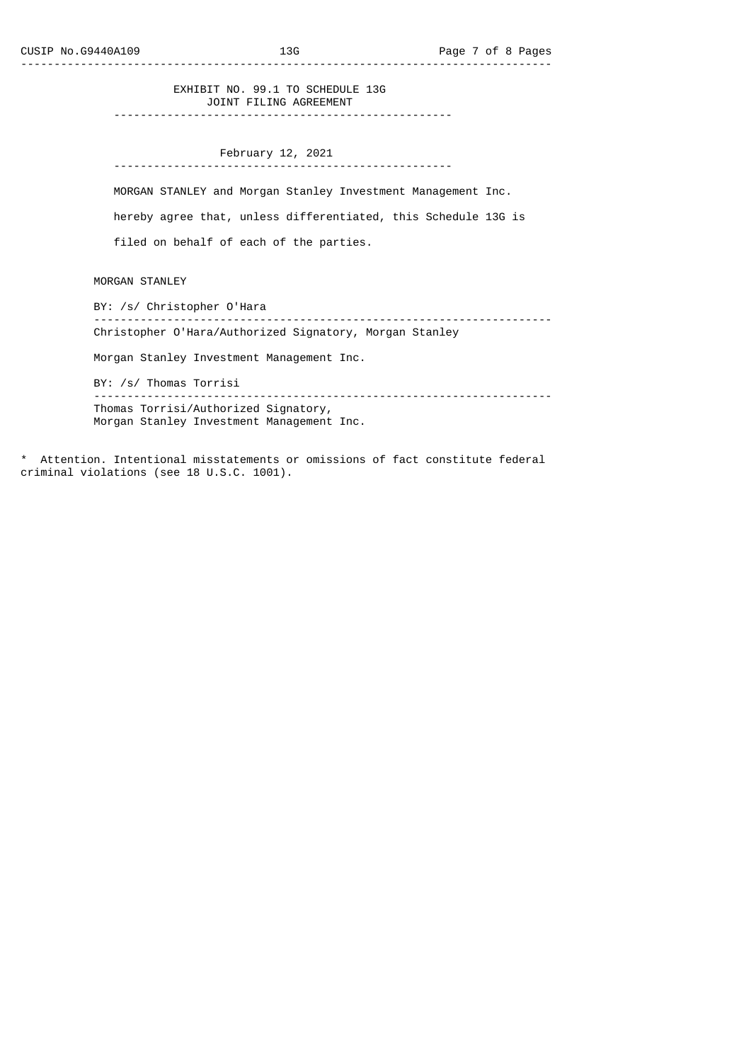## EXHIBIT NO. 99.1 TO SCHEDULE 13G JOINT FILING AGREEMENT

---------------------------------------------------

 February 12, 2021 ---------------------------------------------------

MORGAN STANLEY and Morgan Stanley Investment Management Inc.

hereby agree that, unless differentiated, this Schedule 13G is

filed on behalf of each of the parties.

MORGAN STANLEY

 BY: /s/ Christopher O'Hara --------------------------------------------------------------------- Christopher O'Hara/Authorized Signatory, Morgan Stanley

Morgan Stanley Investment Management Inc.

BY: /s/ Thomas Torrisi

 --------------------------------------------------------------------- Thomas Torrisi/Authorized Signatory, Morgan Stanley Investment Management Inc.

\* Attention. Intentional misstatements or omissions of fact constitute federal criminal violations (see 18 U.S.C. 1001).